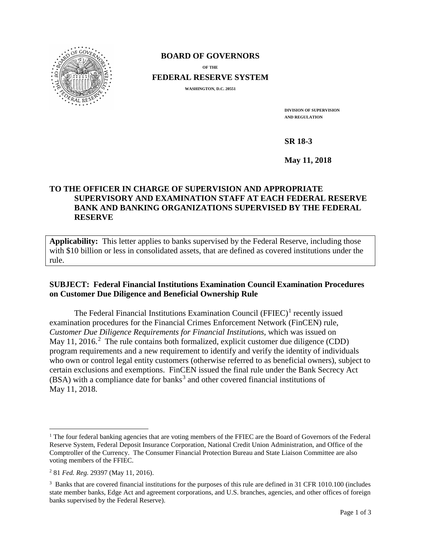

### **BOARD OF GOVERNORS**

**OF THE**

**FEDERAL RESERVE SYSTEM**

**WASHINGTON, D.C. 20551**

**DIVISION OF SUPERVISION AND REGULATION**

**SR 18-3**

**May 11, 2018**

# **TO THE OFFICER IN CHARGE OF SUPERVISION AND APPROPRIATE SUPERVISORY AND EXAMINATION STAFF AT EACH FEDERAL RESERVE BANK AND BANKING ORGANIZATIONS SUPERVISED BY THE FEDERAL RESERVE**

**Applicability:** This letter applies to banks supervised by the Federal Reserve, including those with \$10 billion or less in consolidated assets, that are defined as covered institutions under the rule.

## **SUBJECT: Federal Financial Institutions Examination Council Examination Procedures on Customer Due Diligence and Beneficial Ownership Rule**

The Federal Financial Institutions Examination Council ( $FFIEC$ )<sup>[1](#page-0-0)</sup> recently issued examination procedures for the Financial Crimes Enforcement Network (FinCEN) rule, *Customer Due Diligence Requirements for Financial Institutions*, which was issued on May 11, [2](#page-0-1)016.<sup>2</sup> The rule contains both formalized, explicit customer due diligence (CDD) program requirements and a new requirement to identify and verify the identity of individuals who own or control legal entity customers (otherwise referred to as beneficial owners), subject to certain exclusions and exemptions. FinCEN issued the final rule under the Bank Secrecy Act (BSA) with a compliance date for banks<sup>[3](#page-0-2)</sup> and other covered financial institutions of May 11, 2018.

<span id="page-0-0"></span><sup>&</sup>lt;sup>1</sup> The four federal banking agencies that are voting members of the FFIEC are the Board of Governors of the Federal Reserve System, Federal Deposit Insurance Corporation, National Credit Union Administration, and Office of the Comptroller of the Currency. The Consumer Financial Protection Bureau and State Liaison Committee are also voting members of the FFIEC.

<span id="page-0-1"></span><sup>2</sup> 81 *Fed. Reg.* 29397 (May 11, 2016).

<span id="page-0-2"></span><sup>&</sup>lt;sup>3</sup> Banks that are covered financial institutions for the purposes of this rule are defined in 31 CFR 1010.100 (includes state member banks, Edge Act and agreement corporations, and U.S. branches, agencies, and other offices of foreign banks supervised by the Federal Reserve).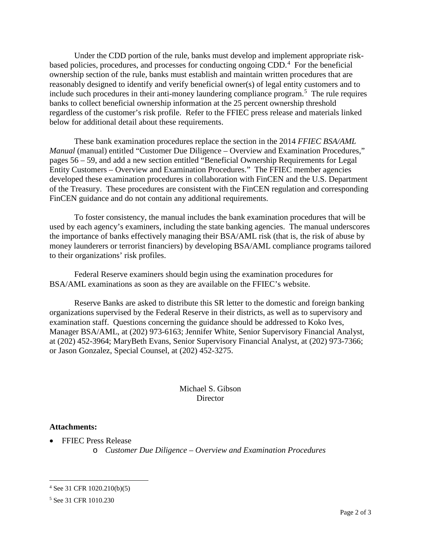Under the CDD portion of the rule, banks must develop and implement appropriate riskbased policies, procedures, and processes for conducting ongoing CDD.[4](#page-1-0) For the beneficial ownership section of the rule, banks must establish and maintain written procedures that are reasonably designed to identify and verify beneficial owner(s) of legal entity customers and to include such procedures in their anti-money laundering compliance program.<sup>[5](#page-1-1)</sup> The rule requires banks to collect beneficial ownership information at the 25 percent ownership threshold regardless of the customer's risk profile. Refer to the FFIEC press release and materials linked below for additional detail about these requirements.

These bank examination procedures replace the section in the 2014 *FFIEC BSA/AML Manual* (manual) entitled "Customer Due Diligence – Overview and Examination Procedures," pages 56 – 59, and add a new section entitled "Beneficial Ownership Requirements for Legal Entity Customers – Overview and Examination Procedures." The FFIEC member agencies developed these examination procedures in collaboration with FinCEN and the U.S. Department of the Treasury. These procedures are consistent with the FinCEN regulation and corresponding FinCEN guidance and do not contain any additional requirements.

To foster consistency, the manual includes the bank examination procedures that will be used by each agency's examiners, including the state banking agencies. The manual underscores the importance of banks effectively managing their BSA/AML risk (that is, the risk of abuse by money launderers or terrorist financiers) by developing BSA/AML compliance programs tailored to their organizations' risk profiles.

Federal Reserve examiners should begin using the examination procedures for BSA/AML examinations as soon as they are available on the FFIEC's website.

Reserve Banks are asked to distribute this SR letter to the domestic and foreign banking organizations supervised by the Federal Reserve in their districts, as well as to supervisory and examination staff. Questions concerning the guidance should be addressed to Koko Ives, Manager BSA/AML, at (202) 973-6163; Jennifer White, Senior Supervisory Financial Analyst, at (202) 452-3964; MaryBeth Evans, Senior Supervisory Financial Analyst, at (202) 973-7366; or Jason Gonzalez, Special Counsel, at (202) 452-3275.

> Michael S. Gibson **Director**

#### **Attachments:**

- FFIEC Press Release
	- o *Customer Due Diligence – Overview and Examination Procedures*

<span id="page-1-0"></span> <sup>4</sup> See 31 CFR 1020.210(b)(5)

<span id="page-1-1"></span><sup>5</sup> See 31 CFR 1010.230